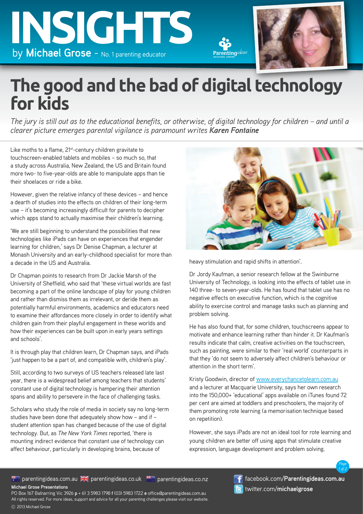



## **The good and the bad of digital technology for kids**

*The jury is still out as to the educational benefits, or otherwise, of digital technology for children – and until a clearer picture emerges parental vigilance is paramount writes Karen Fontaine*

Like moths to a flame, 21<sup>st</sup>-century children gravitate to touchscreen-enabled tablets and mobiles – so much so, that a study across Australia, New Zealand, the US and Britain found more two- to five-year-olds are able to manipulate apps than tie their shoelaces or ride a bike.

However, given the relative infancy of these devices – and hence a dearth of studies into the effects on children of their long-term use – it's becoming increasingly difficult for parents to decipher which apps stand to actually maximise their children's learning.

'We are still beginning to understand the possibilities that new technologies like iPads can have on experiences that engender learning for children,' says Dr Denise Chapman, a lecturer at Monash University and an early-childhood specialist for more than a decade in the US and Australia.

Dr Chapman points to research from Dr Jackie Marsh of the University of Sheffield, who said that 'these virtual worlds are fast becoming a part of the online landscape of play for young children and rather than dismiss them as irrelevant, or deride them as potentially harmful environments, academics and educators need to examine their affordances more closely in order to identify what children gain from their playful engagement in these worlds and how their experiences can be built upon in early years settings and schools'.

It is through play that children learn, Dr Chapman says, and iPads 'just happen to be a part of, and compatible with, children's play'.

Still, according to two surveys of US teachers released late last year, there is a widespread belief among teachers that students' constant use of digital technology is hampering their attention spans and ability to persevere in the face of challenging tasks.

Scholars who study the role of media in society say no long-term studies have been done that adequately show how – and if – student attention span has changed because of the use of digital technology. But, as *The New York Times* reported, 'there is mounting indirect evidence that constant use of technology can affect behaviour, particularly in developing brains, because of



heavy stimulation and rapid shifts in attention'.

Parenting

Dr Jordy Kaufman, a senior research fellow at the Swinburne University of Technology, is looking into the effects of tablet use in 140 three- to seven-year-olds. He has found that tablet use has no negative effects on executive function, which is the cognitive ability to exercise control and manage tasks such as planning and problem solving.

He has also found that, for some children, touchscreens appear to motivate and enhance learning rather than hinder it. Dr Kaufman's results indicate that calm, creative activities on the touchscreen, such as painting, were similar to their 'real world' counterparts in that they 'do not seem to adversely affect children's behaviour or attention in the short term'.

Kristy Goodwin, director of www.everychancetolearn.com.au and a lecturer at Macquarie University, says her own research into the 150,000+ 'educational' apps available on iTunes found 72 per cent are aimed at toddlers and preschoolers, the majority of them promoting rote learning (a memorisation technique based on repetition).

However, she says iPads are not an ideal tool for rote learning and young children are better off using apps that stimulate creative expression, language development and problem solving.

**Michael Grose Presentations** parentingideas.com.au AC parentingideas.co.uk parentingideas.co.nz

facebook.com/**Parentingideas.com.au** twitter.com/**michaelgrose**

*Page 1 of 2*

2013 Michael Grose PO Box 167 Balnarring Vic 3926 **p** + 61 3 5983 1798 **f** (03) 5983 1722 **e** office@parentingideas.com.au All rights reserved. For more ideas, support and advice for all your parenting challenges please visit our website.